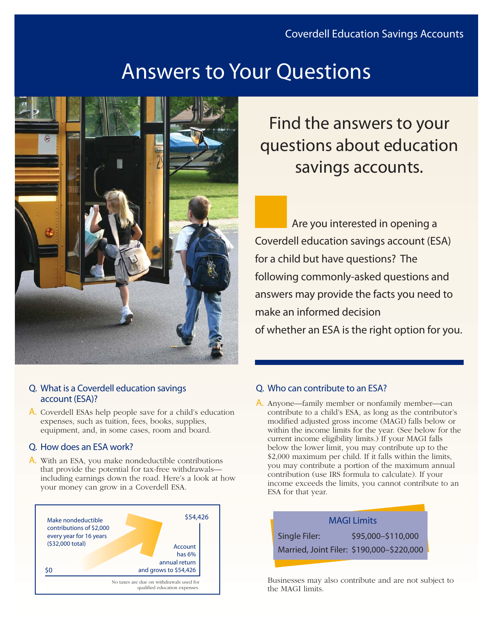# Answers to Your Questions



#### Q. What is a Coverdell education savings account (ESA)?

A. Coverdell ESAs help people save for a child's education expenses, such as tuition, fees, books, supplies, equipment, and, in some cases, room and board.

#### Q. How does an ESA work?

A. With an ESA, you make nondeductible contributions that provide the potential for tax-free withdrawals including earnings down the road. Here's a look at how your money can grow in a Coverdell ESA.



## Find the answers to your questions about education savings accounts.

Are you interested in opening a Coverdell education savings account (ESA) for a child but have questions? The following commonly-asked questions and answers may provide the facts you need to make an informed decision of whether an ESA is the right option for you.

## Q. Who can contribute to an ESA?

A. Anyone—family member or nonfamily member—can contribute to a child's ESA, as long as the contributor's modified adjusted gross income (MAGI) falls below or within the income limits for the year. (See below for the current income eligibility limits.) If your MAGI falls below the lower limit, you may contribute up to the \$2,000 maximum per child. If it falls within the limits, you may contribute a portion of the maximum annual contribution (use IRS formula to calculate). If your income exceeds the limits, you cannot contribute to an ESA for that year.



Businesses may also contribute and are not subject to the MAGI limits.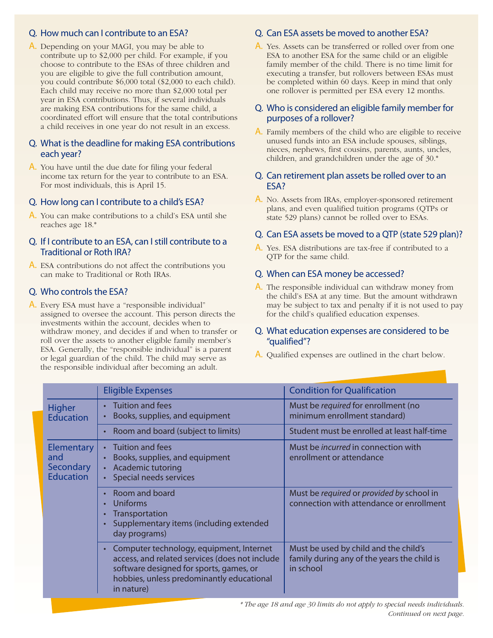#### Q. How much can I contribute to an ESA?

A. Depending on your MAGI, you may be able to contribute up to \$2,000 per child. For example, if you choose to contribute to the ESAs of three children and you are eligible to give the full contribution amount, you could contribute \$6,000 total (\$2,000 to each child). Each child may receive no more than \$2,000 total per year in ESA contributions. Thus, if several individuals are making ESA contributions for the same child, a coordinated effort will ensure that the total contributions a child receives in one year do not result in an excess.

#### Q. What is the deadline for making ESA contributions each year?

A. You have until the due date for filing your federal income tax return for the year to contribute to an ESA. For most individuals, this is April 15.

#### Q. How long can I contribute to a child's ESA?

A. You can make contributions to a child's ESA until she reaches age 18.\*

#### Q. If I contribute to an ESA, can I still contribute to a Traditional or Roth IRA?

A. ESA contributions do not affect the contributions you can make to Traditional or Roth IRAs.

#### Q. Who controls the ESA?

A. Every ESA must have a "responsible individual" assigned to oversee the account. This person directs the investments within the account, decides when to withdraw money, and decides if and when to transfer or roll over the assets to another eligible family member's ESA. Generally, the "responsible individual" is a parent or legal guardian of the child. The child may serve as the responsible individual after becoming an adult.

## Q. Can ESA assets be moved to another ESA?

A. Yes. Assets can be transferred or rolled over from one ESA to another ESA for the same child or an eligible family member of the child. There is no time limit for executing a transfer, but rollovers between ESAs must be completed within 60 days. Keep in mind that only one rollover is permitted per ESA every 12 months.

#### Q. Who is considered an eligible family member for purposes of a rollover?

A. Family members of the child who are eligible to receive unused funds into an ESA include spouses, siblings, nieces, nephews, first cousins, parents, aunts, uncles, children, and grandchildren under the age of 30.\*

#### Q. Can retirement plan assets be rolled over to an ESA?

A. No. Assets from IRAs, employer-sponsored retirement plans, and even qualified tuition programs (QTPs or state 529 plans) cannot be rolled over to ESAs.

## Q. Can ESA assets be moved to a QTP (state 529 plan)?

A. Yes. ESA distributions are tax-free if contributed to a QTP for the same child.

## Q. When can ESA money be accessed?

A. The responsible individual can withdraw money from the child's ESA at any time. But the amount withdrawn may be subject to tax and penalty if it is not used to pay for the child's qualified education expenses.

#### Q. What education expenses are considered to be "qualified"?

A. Qualified expenses are outlined in the chart below.

|                                                           | <b>Eligible Expenses</b>                                                                                                                                                                         | <b>Condition for Qualification</b>                                                                |
|-----------------------------------------------------------|--------------------------------------------------------------------------------------------------------------------------------------------------------------------------------------------------|---------------------------------------------------------------------------------------------------|
| <b>Higher</b><br><b>Education</b>                         | Tuition and fees<br>Books, supplies, and equipment                                                                                                                                               | Must be required for enrollment (no<br>minimum enrollment standard)                               |
|                                                           | Room and board (subject to limits)                                                                                                                                                               | Student must be enrolled at least half-time                                                       |
| Elementary<br>and<br><b>Secondary</b><br><b>Education</b> | Tuition and fees<br>Books, supplies, and equipment<br>Academic tutoring<br>$\bullet$<br>Special needs services                                                                                   | Must be <i>incurred</i> in connection with<br>enrollment or attendance                            |
|                                                           | Room and board<br>Uniforms<br>Transportation<br>Supplementary items (including extended<br>day programs)                                                                                         | Must be required or provided by school in<br>connection with attendance or enrollment             |
|                                                           | Computer technology, equipment, Internet<br>access, and related services (does not include<br>software designed for sports, games, or<br>hobbies, unless predominantly educational<br>in nature) | Must be used by child and the child's<br>family during any of the years the child is<br>in school |